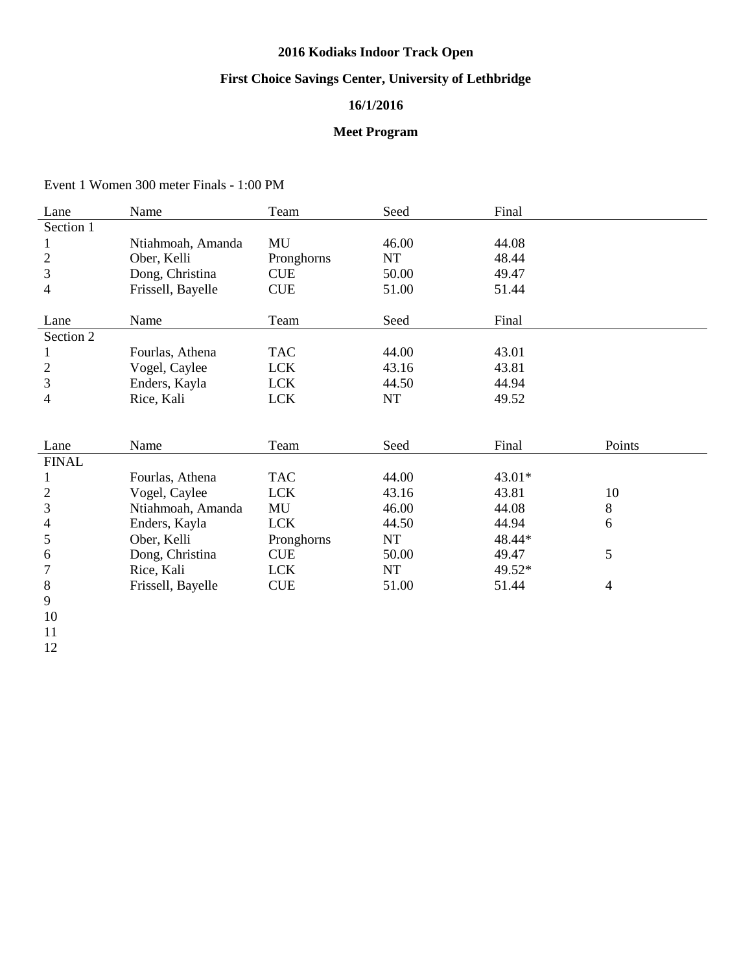# **2016 Kodiaks Indoor Track Open**

# **First Choice Savings Center, University of Lethbridge**

## **16/1/2016**

### **Meet Program**

Event 1 Women 300 meter Finals - 1:00 PM

| Lane           | Name              | Team       | Seed      | Final  |        |
|----------------|-------------------|------------|-----------|--------|--------|
| Section 1      |                   |            |           |        |        |
|                | Ntiahmoah, Amanda | MU         | 46.00     | 44.08  |        |
| $\overline{c}$ | Ober, Kelli       | Pronghorns | NT        | 48.44  |        |
| 3              | Dong, Christina   | <b>CUE</b> | 50.00     | 49.47  |        |
| 4              | Frissell, Bayelle | <b>CUE</b> | 51.00     | 51.44  |        |
|                |                   |            |           |        |        |
| Lane           | Name              | Team       | Seed      | Final  |        |
| Section 2      |                   |            |           |        |        |
| 1              | Fourlas, Athena   | <b>TAC</b> | 44.00     | 43.01  |        |
| $\overline{c}$ | Vogel, Caylee     | <b>LCK</b> | 43.16     | 43.81  |        |
| 3              | Enders, Kayla     | <b>LCK</b> | 44.50     | 44.94  |        |
| 4              | Rice, Kali        | <b>LCK</b> | <b>NT</b> | 49.52  |        |
|                |                   |            |           |        |        |
|                |                   |            |           |        |        |
| Lane           | Name              | Team       | Seed      | Final  | Points |
| <b>FINAL</b>   |                   |            |           |        |        |
| 1              | Fourlas, Athena   | <b>TAC</b> | 44.00     | 43.01* |        |
| $\overline{c}$ | Vogel, Caylee     | <b>LCK</b> | 43.16     | 43.81  | 10     |
| 3              | Ntiahmoah, Amanda | MU         | 46.00     | 44.08  | 8      |
| 4              | Enders, Kayla     | <b>LCK</b> | 44.50     | 44.94  | 6      |
| 5              | Ober, Kelli       | Pronghorns | NT        | 48.44* |        |
| 6              | Dong, Christina   | <b>CUE</b> | 50.00     | 49.47  | 5      |
| 7              | Rice, Kali        | <b>LCK</b> | NT        | 49.52* |        |
| 8              | Frissell, Bayelle | <b>CUE</b> | 51.00     | 51.44  | 4      |
| 9              |                   |            |           |        |        |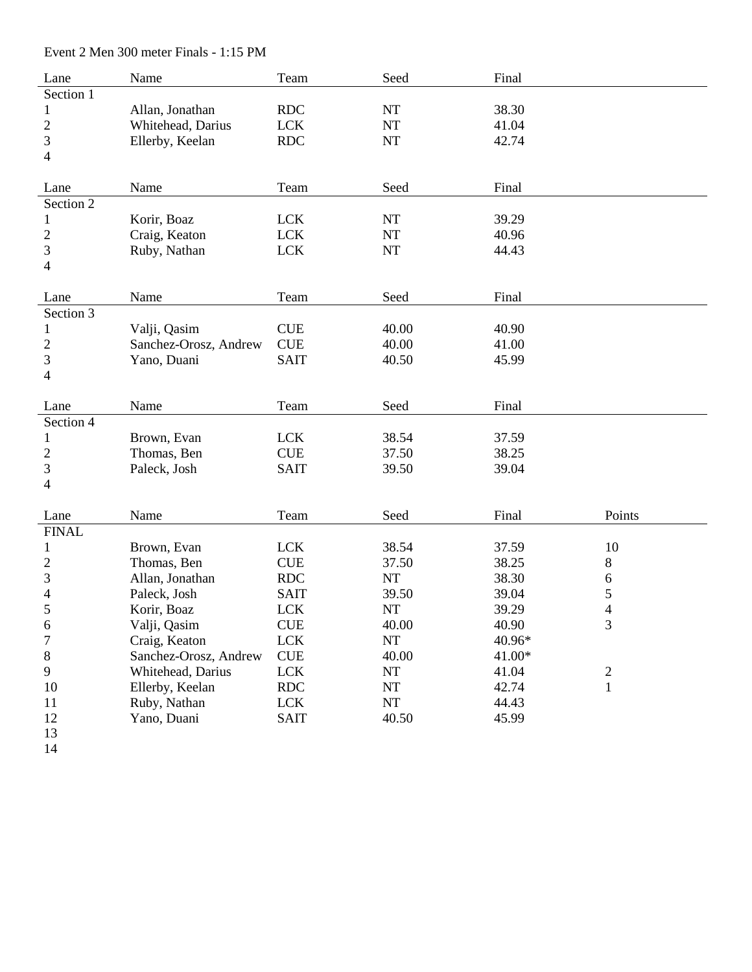| Lane             | Name                  | Team        | Seed      | Final  |                         |
|------------------|-----------------------|-------------|-----------|--------|-------------------------|
| Section 1        |                       |             |           |        |                         |
| $\mathbf{1}$     | Allan, Jonathan       | <b>RDC</b>  | <b>NT</b> | 38.30  |                         |
| $\overline{c}$   | Whitehead, Darius     | <b>LCK</b>  | <b>NT</b> | 41.04  |                         |
| 3                | Ellerby, Keelan       | <b>RDC</b>  | NT        | 42.74  |                         |
| $\overline{4}$   |                       |             |           |        |                         |
|                  |                       |             |           |        |                         |
| Lane             | Name                  | Team        | Seed      | Final  |                         |
| Section 2        |                       |             |           |        |                         |
| $\mathbf{1}$     | Korir, Boaz           | <b>LCK</b>  | NT        | 39.29  |                         |
| $\overline{c}$   | Craig, Keaton         | <b>LCK</b>  | NT        | 40.96  |                         |
| 3                | Ruby, Nathan          | <b>LCK</b>  | NT        | 44.43  |                         |
| $\overline{4}$   |                       |             |           |        |                         |
|                  |                       |             |           |        |                         |
| Lane             | Name                  | Team        | Seed      | Final  |                         |
| Section 3        |                       |             |           |        |                         |
| $\mathbf{1}$     | Valji, Qasim          | <b>CUE</b>  | 40.00     | 40.90  |                         |
| $\overline{c}$   | Sanchez-Orosz, Andrew | <b>CUE</b>  | 40.00     | 41.00  |                         |
| 3                | Yano, Duani           | <b>SAIT</b> | 40.50     | 45.99  |                         |
| 4                |                       |             |           |        |                         |
|                  |                       |             |           |        |                         |
| Lane             | Name                  | Team        | Seed      | Final  |                         |
| Section 4        |                       |             |           |        |                         |
| $\mathbf{1}$     | Brown, Evan           | <b>LCK</b>  | 38.54     | 37.59  |                         |
| 2                | Thomas, Ben           | <b>CUE</b>  | 37.50     | 38.25  |                         |
| 3                | Paleck, Josh          | <b>SAIT</b> | 39.50     | 39.04  |                         |
| $\overline{4}$   |                       |             |           |        |                         |
|                  |                       |             |           |        |                         |
| Lane             | Name                  | Team        | Seed      | Final  | Points                  |
| <b>FINAL</b>     |                       |             |           |        |                         |
| $\mathbf{1}$     | Brown, Evan           | <b>LCK</b>  | 38.54     | 37.59  | 10                      |
| 2                | Thomas, Ben           | <b>CUE</b>  | 37.50     | 38.25  | $8\,$                   |
| 3                | Allan, Jonathan       | <b>RDC</b>  | NT        | 38.30  | 6                       |
| 4                | Paleck, Josh          | <b>SAIT</b> | 39.50     | 39.04  | 5                       |
| 5                | Korir, Boaz           | <b>LCK</b>  | NT        | 39.29  | $\overline{4}$          |
| 6                | Valji, Qasim          | <b>CUE</b>  | 40.00     | 40.90  | $\mathfrak{Z}$          |
| $\boldsymbol{7}$ | Craig, Keaton         | <b>LCK</b>  | <b>NT</b> | 40.96* |                         |
| 8                | Sanchez-Orosz, Andrew | <b>CUE</b>  | 40.00     | 41.00* |                         |
| 9                | Whitehead, Darius     | <b>LCK</b>  | NT        | 41.04  | $\overline{\mathbf{c}}$ |
| 10               | Ellerby, Keelan       | <b>RDC</b>  | $\rm{NT}$ | 42.74  | $\mathbf{1}$            |
| 11               | Ruby, Nathan          | <b>LCK</b>  | NT        | 44.43  |                         |
| 12               | Yano, Duani           | <b>SAIT</b> | 40.50     | 45.99  |                         |
| 13               |                       |             |           |        |                         |

Event 2 Men 300 meter Finals - 1:15 PM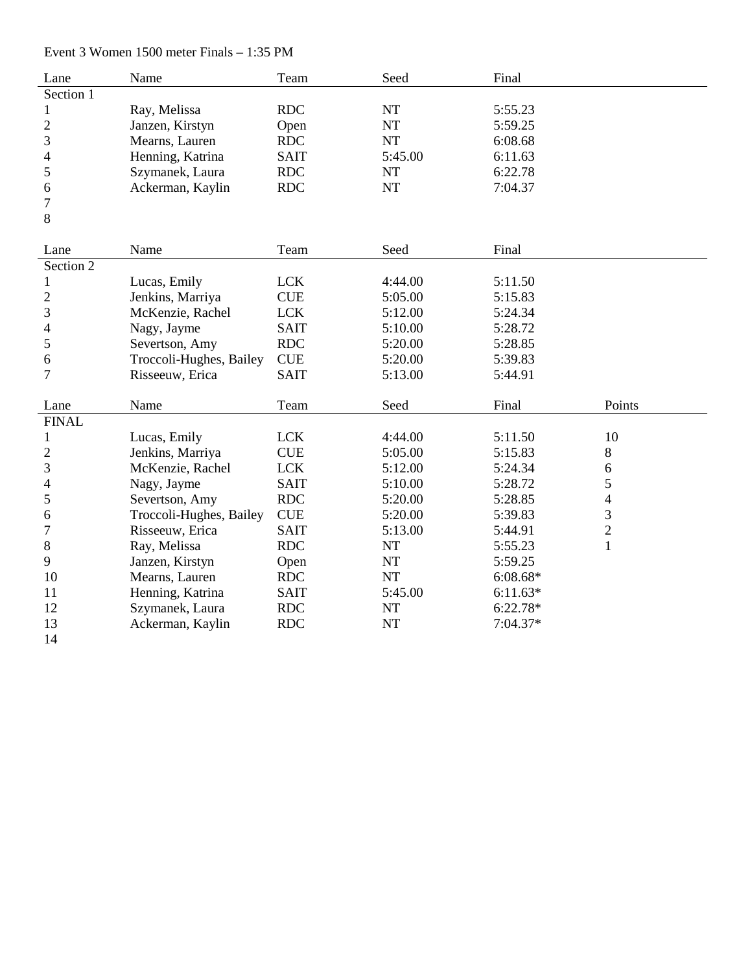Event 3 Women 1500 meter Finals – 1:35 PM

| Lane           | Name                    | Team                        | Seed      | Final      |                          |
|----------------|-------------------------|-----------------------------|-----------|------------|--------------------------|
| Section 1      |                         |                             |           |            |                          |
| $\mathbf{1}$   | Ray, Melissa            | <b>RDC</b>                  | $\rm{NT}$ | 5:55.23    |                          |
| $\overline{c}$ | Janzen, Kirstyn         | Open                        | NT        | 5:59.25    |                          |
| 3              | Mearns, Lauren          | <b>RDC</b>                  | <b>NT</b> | 6:08.68    |                          |
| 4              | Henning, Katrina        | <b>SAIT</b>                 | 5:45.00   | 6:11.63    |                          |
| 5              | Szymanek, Laura         | <b>RDC</b>                  | NT        | 6:22.78    |                          |
| 6              | Ackerman, Kaylin        | <b>RDC</b>                  | <b>NT</b> | 7:04.37    |                          |
| 7              |                         |                             |           |            |                          |
| 8              |                         |                             |           |            |                          |
|                |                         |                             |           |            |                          |
| Lane           | Name                    | Team                        | Seed      | Final      |                          |
| Section 2      |                         |                             |           |            |                          |
| $\mathbf{1}$   | Lucas, Emily            | <b>LCK</b>                  | 4:44.00   | 5:11.50    |                          |
| $\overline{2}$ | Jenkins, Marriya        | <b>CUE</b>                  | 5:05.00   | 5:15.83    |                          |
| 3              | McKenzie, Rachel        | <b>LCK</b>                  | 5:12.00   | 5:24.34    |                          |
| 4              | Nagy, Jayme             | <b>SAIT</b>                 | 5:10.00   | 5:28.72    |                          |
| 5              | Severtson, Amy          | <b>RDC</b>                  | 5:20.00   | 5:28.85    |                          |
| 6              | Troccoli-Hughes, Bailey | <b>CUE</b>                  | 5:20.00   | 5:39.83    |                          |
| $\tau$         | Risseeuw, Erica         | <b>SAIT</b>                 | 5:13.00   | 5:44.91    |                          |
|                |                         |                             |           |            |                          |
| Lane           | Name                    | Team                        | Seed      | Final      | Points                   |
| <b>FINAL</b>   |                         |                             |           |            |                          |
| $\mathbf{1}$   | Lucas, Emily            | <b>LCK</b>                  | 4:44.00   | 5:11.50    | 10                       |
| $\overline{2}$ | Jenkins, Marriya        | <b>CUE</b>                  | 5:05.00   | 5:15.83    | 8                        |
| 3              | McKenzie, Rachel        | <b>LCK</b>                  | 5:12.00   | 5:24.34    | 6                        |
| 4              | Nagy, Jayme             | <b>SAIT</b>                 | 5:10.00   | 5:28.72    | 5                        |
| 5              | Severtson, Amy          | <b>RDC</b>                  | 5:20.00   | 5:28.85    | $\overline{\mathcal{L}}$ |
| 6              | Troccoli-Hughes, Bailey | $\ensuremath{\mathsf{CUE}}$ | 5:20.00   | 5:39.83    | 3                        |
| 7              | Risseeuw, Erica         | <b>SAIT</b>                 | 5:13.00   | 5:44.91    | $\overline{c}$           |
| $8\,$          | Ray, Melissa            | <b>RDC</b>                  | NT        | 5:55.23    | $\mathbf{1}$             |
| 9              | Janzen, Kirstyn         | Open                        | <b>NT</b> | 5:59.25    |                          |
| 10             | Mearns, Lauren          | <b>RDC</b>                  | <b>NT</b> | $6:08.68*$ |                          |
| 11             | Henning, Katrina        | <b>SAIT</b>                 | 5:45.00   | $6:11.63*$ |                          |
| 12             | Szymanek, Laura         | <b>RDC</b>                  | <b>NT</b> | $6:22.78*$ |                          |
| 13             | Ackerman, Kaylin        | <b>RDC</b>                  | <b>NT</b> | 7:04.37*   |                          |
| 14             |                         |                             |           |            |                          |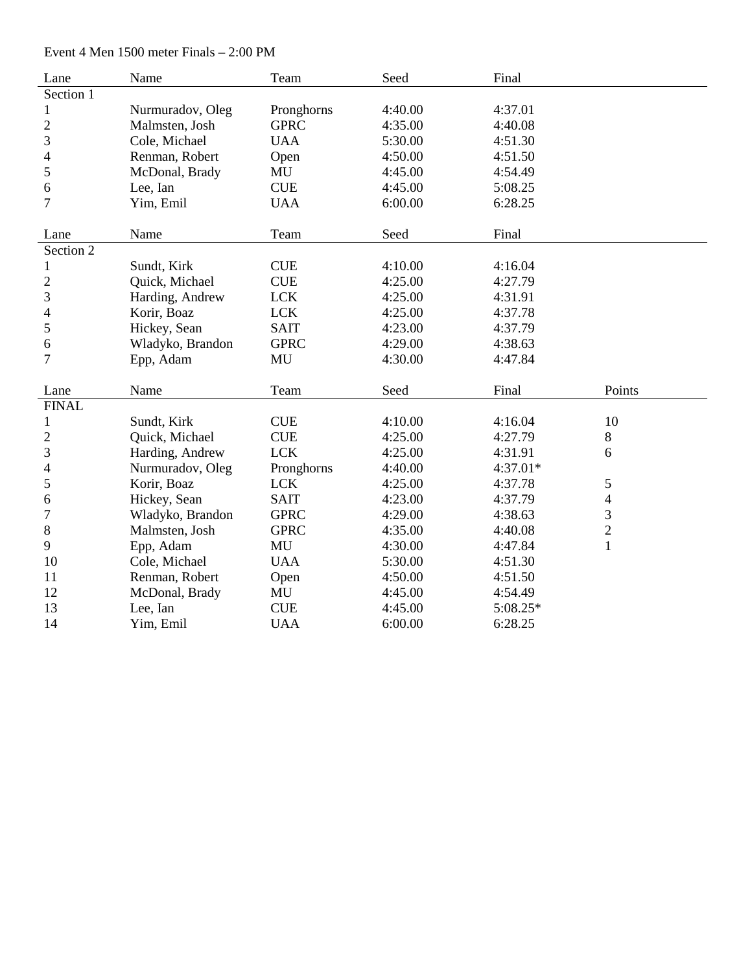Event 4 Men 1500 meter Finals – 2:00 PM

| Lane           | Name             | Team        | Seed    | Final    |                          |
|----------------|------------------|-------------|---------|----------|--------------------------|
| Section 1      |                  |             |         |          |                          |
| $\mathbf{1}$   | Nurmuradov, Oleg | Pronghorns  | 4:40.00 | 4:37.01  |                          |
| $\mathbf{2}$   | Malmsten, Josh   | <b>GPRC</b> | 4:35.00 | 4:40.08  |                          |
| 3              | Cole, Michael    | <b>UAA</b>  | 5:30.00 | 4:51.30  |                          |
| 4              | Renman, Robert   | Open        | 4:50.00 | 4:51.50  |                          |
| 5              | McDonal, Brady   | MU          | 4:45.00 | 4:54.49  |                          |
| 6              | Lee, Ian         | <b>CUE</b>  | 4:45.00 | 5:08.25  |                          |
| $\overline{7}$ | Yim, Emil        | <b>UAA</b>  | 6:00.00 | 6:28.25  |                          |
|                |                  |             |         |          |                          |
| Lane           | Name             | Team        | Seed    | Final    |                          |
| Section 2      |                  |             |         |          |                          |
| $\mathbf{1}$   | Sundt, Kirk      | <b>CUE</b>  | 4:10.00 | 4:16.04  |                          |
| $\mathbf{2}$   | Quick, Michael   | <b>CUE</b>  | 4:25.00 | 4:27.79  |                          |
| 3              | Harding, Andrew  | <b>LCK</b>  | 4:25.00 | 4:31.91  |                          |
| 4              | Korir, Boaz      | <b>LCK</b>  | 4:25.00 | 4:37.78  |                          |
| 5              | Hickey, Sean     | <b>SAIT</b> | 4:23.00 | 4:37.79  |                          |
| 6              | Wladyko, Brandon | <b>GPRC</b> | 4:29.00 | 4:38.63  |                          |
| $\tau$         | Epp, Adam        | MU          | 4:30.00 | 4:47.84  |                          |
|                |                  |             |         |          |                          |
| Lane           | Name             | Team        | Seed    | Final    | Points                   |
| <b>FINAL</b>   |                  |             |         |          |                          |
| $\mathbf{1}$   | Sundt, Kirk      | <b>CUE</b>  | 4:10.00 | 4:16.04  | 10                       |
| $\overline{c}$ | Quick, Michael   | CUE         | 4:25.00 | 4:27.79  | 8                        |
| 3              | Harding, Andrew  | <b>LCK</b>  | 4:25.00 | 4:31.91  | 6                        |
| 4              | Nurmuradov, Oleg | Pronghorns  | 4:40.00 | 4:37.01* |                          |
| 5              | Korir, Boaz      | <b>LCK</b>  | 4:25.00 | 4:37.78  | 5                        |
| 6              | Hickey, Sean     | <b>SAIT</b> | 4:23.00 | 4:37.79  | $\overline{\mathcal{L}}$ |
| 7              | Wladyko, Brandon | <b>GPRC</b> | 4:29.00 | 4:38.63  | 3                        |
| 8              | Malmsten, Josh   | <b>GPRC</b> | 4:35.00 | 4:40.08  | $\overline{c}$           |
| 9              | Epp, Adam        | MU          | 4:30.00 | 4:47.84  | $\mathbf{1}$             |
| 10             | Cole, Michael    | <b>UAA</b>  | 5:30.00 | 4:51.30  |                          |
| 11             | Renman, Robert   | Open        | 4:50.00 | 4:51.50  |                          |
| 12             | McDonal, Brady   | MU          | 4:45.00 | 4:54.49  |                          |
| 13             | Lee, Ian         | <b>CUE</b>  | 4:45.00 | 5:08.25* |                          |
| 14             | Yim, Emil        | <b>UAA</b>  | 6:00.00 | 6:28.25  |                          |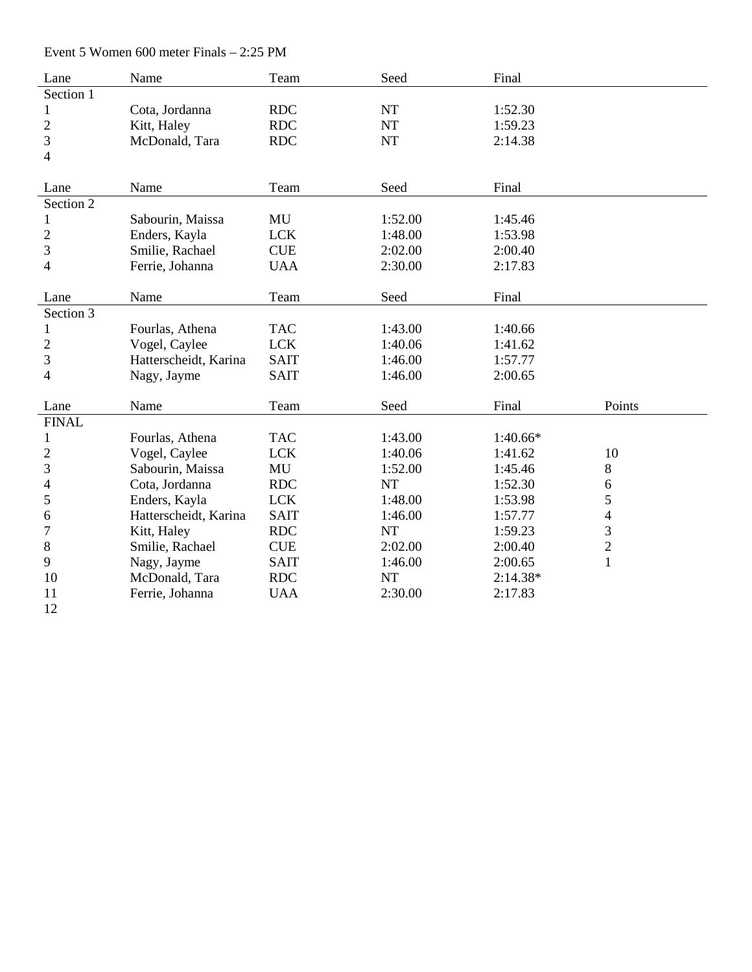Event 5 Women 600 meter Finals – 2:25 PM

| Lane                     | Name                  | Team        | Seed      | Final      |                |
|--------------------------|-----------------------|-------------|-----------|------------|----------------|
| Section 1                |                       |             |           |            |                |
| $\mathbf 1$              | Cota, Jordanna        | <b>RDC</b>  | NT        | 1:52.30    |                |
| $\overline{2}$           | Kitt, Haley           | <b>RDC</b>  | <b>NT</b> | 1:59.23    |                |
| 3                        | McDonald, Tara        | <b>RDC</b>  | <b>NT</b> | 2:14.38    |                |
| $\overline{\mathcal{A}}$ |                       |             |           |            |                |
|                          |                       |             |           |            |                |
| Lane                     | Name                  | Team        | Seed      | Final      |                |
| Section 2                |                       |             |           |            |                |
| 1                        | Sabourin, Maissa      | MU          | 1:52.00   | 1:45.46    |                |
| $\overline{c}$           | Enders, Kayla         | <b>LCK</b>  | 1:48.00   | 1:53.98    |                |
| 3                        | Smilie, Rachael       | <b>CUE</b>  | 2:02.00   | 2:00.40    |                |
| 4                        | Ferrie, Johanna       | <b>UAA</b>  | 2:30.00   | 2:17.83    |                |
|                          |                       |             |           |            |                |
| Lane                     | Name                  | Team        | Seed      | Final      |                |
| Section 3                |                       |             |           |            |                |
| 1                        | Fourlas, Athena       | <b>TAC</b>  | 1:43.00   | 1:40.66    |                |
| $\mathbf{2}$             | Vogel, Caylee         | <b>LCK</b>  | 1:40.06   | 1:41.62    |                |
| 3                        | Hatterscheidt, Karina | <b>SAIT</b> | 1:46.00   | 1:57.77    |                |
| $\overline{4}$           | Nagy, Jayme           | <b>SAIT</b> | 1:46.00   | 2:00.65    |                |
|                          |                       |             |           |            |                |
| Lane                     | Name                  | Team        | Seed      | Final      | Points         |
| <b>FINAL</b>             |                       |             |           |            |                |
| 1                        | Fourlas, Athena       | <b>TAC</b>  | 1:43.00   | $1:40.66*$ |                |
| $\overline{c}$           | Vogel, Caylee         | <b>LCK</b>  | 1:40.06   | 1:41.62    | 10             |
| 3                        | Sabourin, Maissa      | MU          | 1:52.00   | 1:45.46    | $8\,$          |
| 4                        | Cota, Jordanna        | <b>RDC</b>  | <b>NT</b> | 1:52.30    | $\sqrt{6}$     |
| 5                        | Enders, Kayla         | <b>LCK</b>  | 1:48.00   | 1:53.98    | 5              |
| 6                        | Hatterscheidt, Karina | <b>SAIT</b> | 1:46.00   | 1:57.77    | $\overline{4}$ |
| 7                        | Kitt, Haley           | <b>RDC</b>  | NT        | 1:59.23    | 3              |
| $8\,$                    | Smilie, Rachael       | <b>CUE</b>  | 2:02.00   | 2:00.40    | $\overline{c}$ |
| 9                        | Nagy, Jayme           | <b>SAIT</b> | 1:46.00   | 2:00.65    | $\mathbf{1}$   |
| 10                       | McDonald, Tara        | <b>RDC</b>  | <b>NT</b> | $2:14.38*$ |                |
| 11                       | Ferrie, Johanna       | <b>UAA</b>  | 2:30.00   | 2:17.83    |                |
| 12                       |                       |             |           |            |                |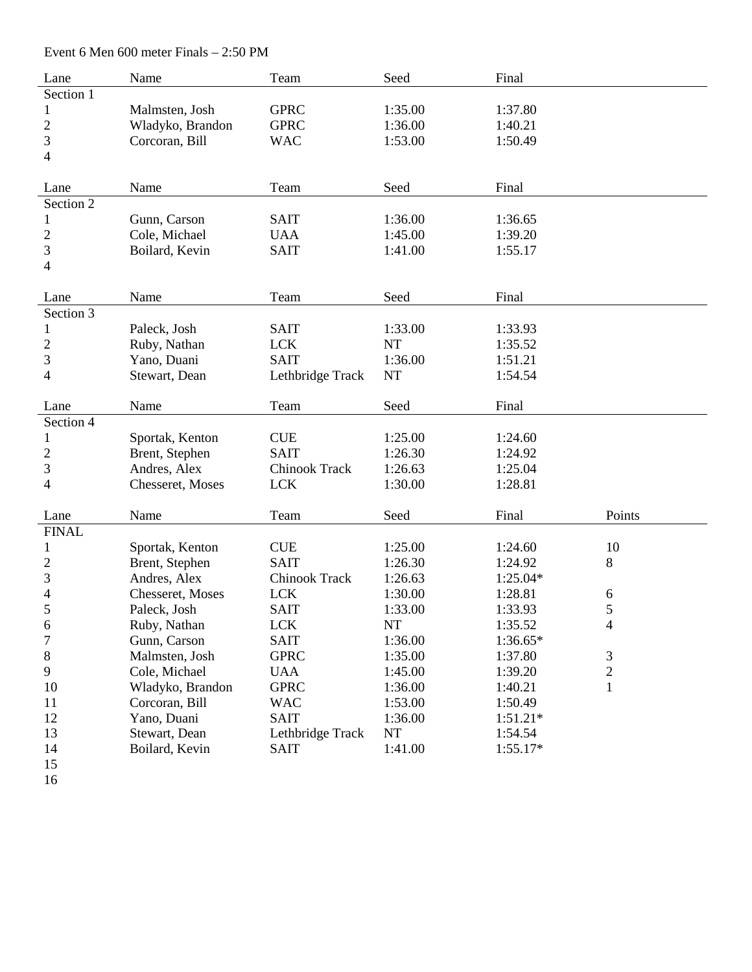Event 6 Men 600 meter Finals – 2:50 PM

| Lane                     | Name             | Team                 | Seed      | Final      |                |
|--------------------------|------------------|----------------------|-----------|------------|----------------|
| Section 1                |                  |                      |           |            |                |
| 1                        | Malmsten, Josh   | <b>GPRC</b>          | 1:35.00   | 1:37.80    |                |
| $\mathbf{2}$             | Wladyko, Brandon | <b>GPRC</b>          | 1:36.00   | 1:40.21    |                |
| 3                        | Corcoran, Bill   | <b>WAC</b>           | 1:53.00   | 1:50.49    |                |
| 4                        |                  |                      |           |            |                |
|                          |                  |                      |           |            |                |
| Lane                     | Name             | Team                 | Seed      | Final      |                |
| Section 2                |                  |                      |           |            |                |
| 1                        | Gunn, Carson     | <b>SAIT</b>          | 1:36.00   | 1:36.65    |                |
| $\overline{c}$           | Cole, Michael    | <b>UAA</b>           | 1:45.00   | 1:39.20    |                |
| 3                        | Boilard, Kevin   | <b>SAIT</b>          | 1:41.00   | 1:55.17    |                |
| 4                        |                  |                      |           |            |                |
|                          |                  |                      |           |            |                |
| Lane                     | Name             | Team                 | Seed      | Final      |                |
| Section 3                |                  |                      |           |            |                |
| 1                        | Paleck, Josh     | <b>SAIT</b>          | 1:33.00   | 1:33.93    |                |
| $\overline{c}$           | Ruby, Nathan     | <b>LCK</b>           | <b>NT</b> | 1:35.52    |                |
| 3                        | Yano, Duani      | <b>SAIT</b>          | 1:36.00   | 1:51.21    |                |
| 4                        | Stewart, Dean    | Lethbridge Track     | <b>NT</b> | 1:54.54    |                |
|                          |                  |                      |           |            |                |
| Lane                     | Name             | Team                 | Seed      | Final      |                |
| Section 4                |                  |                      |           |            |                |
| 1                        | Sportak, Kenton  | <b>CUE</b>           | 1:25.00   | 1:24.60    |                |
| 2                        | Brent, Stephen   | <b>SAIT</b>          | 1:26.30   | 1:24.92    |                |
| 3                        | Andres, Alex     | Chinook Track        | 1:26.63   | 1:25.04    |                |
| 4                        | Chesseret, Moses | <b>LCK</b>           | 1:30.00   | 1:28.81    |                |
|                          |                  |                      |           |            |                |
| Lane                     | Name             | Team                 | Seed      | Final      | Points         |
| <b>FINAL</b>             |                  |                      |           |            |                |
| $\mathbf 1$              | Sportak, Kenton  | <b>CUE</b>           | 1:25.00   | 1:24.60    | 10             |
| $\overline{c}$           | Brent, Stephen   | <b>SAIT</b>          | 1:26.30   | 1:24.92    | $8\,$          |
| 3                        | Andres, Alex     | <b>Chinook Track</b> | 1:26.63   | $1:25.04*$ |                |
| $\overline{\mathcal{A}}$ | Chesseret, Moses | <b>LCK</b>           | 1:30.00   | 1:28.81    | 6              |
| 5                        | Paleck, Josh     | <b>SAIT</b>          | 1:33.00   | 1:33.93    | 5              |
| 6                        | Ruby, Nathan     | <b>LCK</b>           | <b>NT</b> | 1:35.52    | $\overline{4}$ |
| 7                        | Gunn, Carson     | <b>SAIT</b>          | 1:36.00   | 1:36.65*   |                |
| 8                        | Malmsten, Josh   | <b>GPRC</b>          | 1:35.00   | 1:37.80    | $\mathfrak{Z}$ |
| 9                        | Cole, Michael    | <b>UAA</b>           | 1:45.00   | 1:39.20    | $\overline{c}$ |
| 10                       | Wladyko, Brandon | <b>GPRC</b>          | 1:36.00   | 1:40.21    | $\mathbf{1}$   |
| 11                       | Corcoran, Bill   | <b>WAC</b>           | 1:53.00   | 1:50.49    |                |
| 12                       | Yano, Duani      | <b>SAIT</b>          | 1:36.00   | $1:51.21*$ |                |
| 13                       | Stewart, Dean    | Lethbridge Track     | NT        | 1:54.54    |                |
| 14                       | Boilard, Kevin   | <b>SAIT</b>          | 1:41.00   | $1:55.17*$ |                |
| 15                       |                  |                      |           |            |                |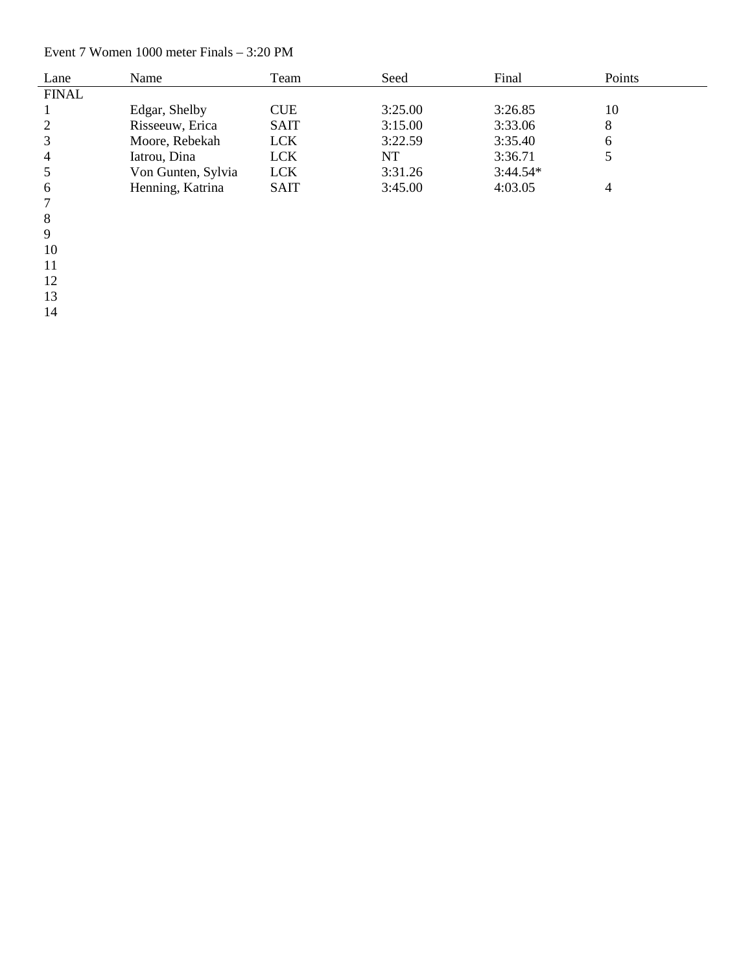#### Event 7 Women 1000 meter Finals – 3: 20 PM

| Lane           | Name               | Team        | Seed    | Final      | Points |
|----------------|--------------------|-------------|---------|------------|--------|
| <b>FINAL</b>   |                    |             |         |            |        |
|                | Edgar, Shelby      | <b>CUE</b>  | 3:25.00 | 3:26.85    | 10     |
| 2              | Risseeuw, Erica    | <b>SAIT</b> | 3:15.00 | 3:33.06    | 8      |
| 3              | Moore, Rebekah     | <b>LCK</b>  | 3:22.59 | 3:35.40    | 6      |
| $\overline{4}$ | Iatrou, Dina       | <b>LCK</b>  | NT      | 3:36.71    |        |
|                | Von Gunten, Sylvia | <b>LCK</b>  | 3:31.26 | $3:44.54*$ |        |
| 6              | Henning, Katrina   | <b>SAIT</b> | 3:45.00 | 4:03.05    |        |
|                |                    |             |         |            |        |

7<br>8<br>9

 $\begin{array}{c} 8 \\ 9 \end{array}$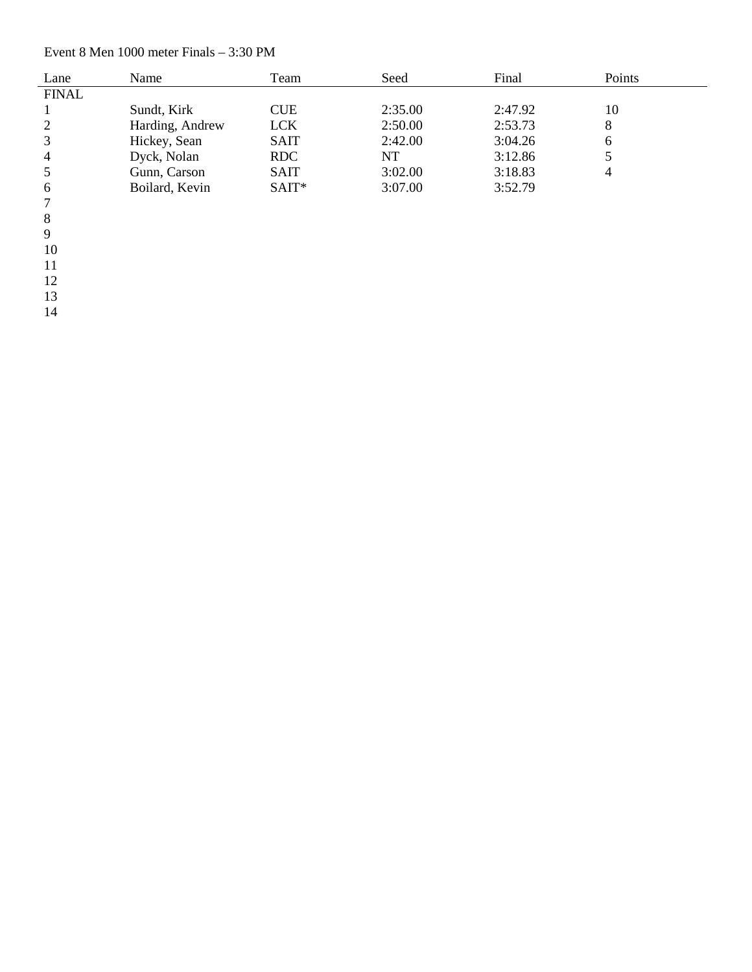#### Event 8 Men 1000 meter Finals – 3:30 PM

| Lane           | Name            | Team        | Seed    | Final   | Points |
|----------------|-----------------|-------------|---------|---------|--------|
| <b>FINAL</b>   |                 |             |         |         |        |
|                | Sundt, Kirk     | <b>CUE</b>  | 2:35.00 | 2:47.92 | 10     |
| 2              | Harding, Andrew | <b>LCK</b>  | 2:50.00 | 2:53.73 | 8      |
| 3              | Hickey, Sean    | <b>SAIT</b> | 2:42.00 | 3:04.26 | 6      |
| $\overline{4}$ | Dyck, Nolan     | <b>RDC</b>  | NT      | 3:12.86 |        |
| 5              | Gunn, Carson    | <b>SAIT</b> | 3:02.00 | 3:18.83 | 4      |
| 6              | Boilard, Kevin  | $SAT*$      | 3:07.00 | 3:52.79 |        |
| 7              |                 |             |         |         |        |

7<br>8<br>9  $\, 8$ 

 $9<sup>°</sup>$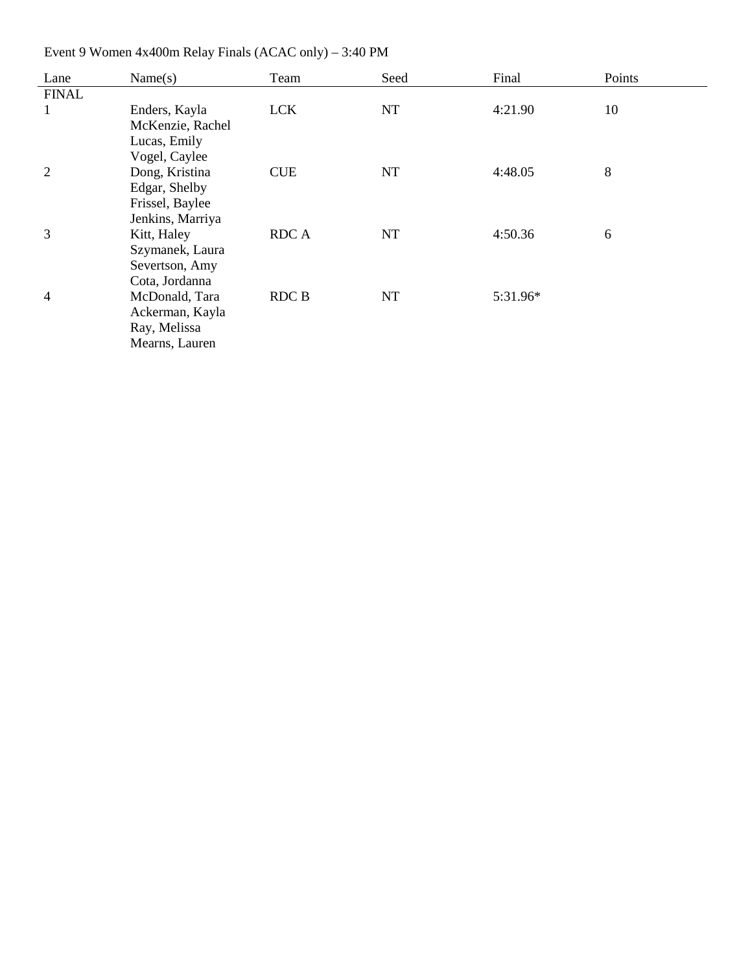| Lane           | Name(s)          | Team        | Seed | Final    | Points |
|----------------|------------------|-------------|------|----------|--------|
| <b>FINAL</b>   |                  |             |      |          |        |
| $\mathbf{1}$   | Enders, Kayla    | <b>LCK</b>  | NT   | 4:21.90  | 10     |
|                | McKenzie, Rachel |             |      |          |        |
|                | Lucas, Emily     |             |      |          |        |
|                | Vogel, Caylee    |             |      |          |        |
| $\overline{2}$ | Dong, Kristina   | <b>CUE</b>  | NT   | 4:48.05  | 8      |
|                | Edgar, Shelby    |             |      |          |        |
|                | Frissel, Baylee  |             |      |          |        |
|                | Jenkins, Marriya |             |      |          |        |
| 3              | Kitt, Haley      | <b>RDCA</b> | NT   | 4:50.36  | 6      |
|                | Szymanek, Laura  |             |      |          |        |
|                | Severtson, Amy   |             |      |          |        |
|                | Cota, Jordanna   |             |      |          |        |
| 4              | McDonald, Tara   | RDC B       | NT   | 5:31.96* |        |
|                | Ackerman, Kayla  |             |      |          |        |
|                | Ray, Melissa     |             |      |          |        |
|                | Mearns, Lauren   |             |      |          |        |

Event 9 Women 4x400m Relay Finals (ACAC only) – 3:40 PM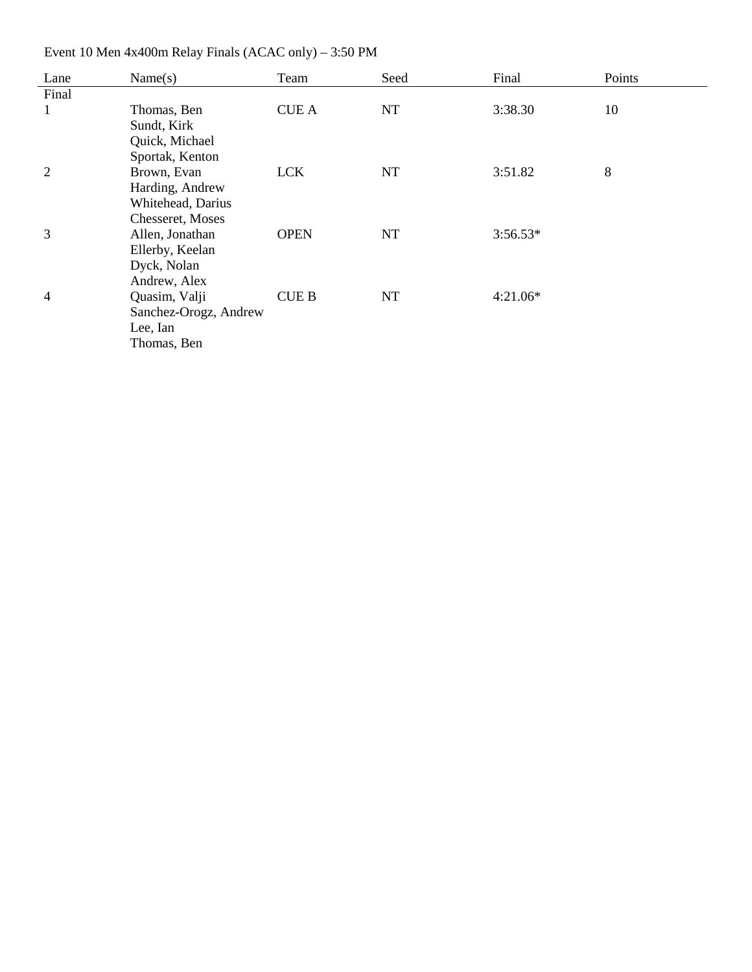| Lane           | Name(s)               | Team         | Seed | Final      | Points |
|----------------|-----------------------|--------------|------|------------|--------|
| Final          |                       |              |      |            |        |
| $\mathbf{1}$   | Thomas, Ben           | <b>CUE A</b> | NT   | 3:38.30    | 10     |
|                | Sundt, Kirk           |              |      |            |        |
|                | Quick, Michael        |              |      |            |        |
|                | Sportak, Kenton       |              |      |            |        |
| 2              | Brown, Evan           | <b>LCK</b>   | NT   | 3:51.82    | 8      |
|                | Harding, Andrew       |              |      |            |        |
|                | Whitehead, Darius     |              |      |            |        |
|                | Chesseret, Moses      |              |      |            |        |
| 3              | Allen, Jonathan       | <b>OPEN</b>  | NT   | $3:56.53*$ |        |
|                | Ellerby, Keelan       |              |      |            |        |
|                | Dyck, Nolan           |              |      |            |        |
|                | Andrew, Alex          |              |      |            |        |
| $\overline{4}$ | Quasim, Valji         | <b>CUE B</b> | NT   | $4:21.06*$ |        |
|                | Sanchez-Orogz, Andrew |              |      |            |        |
|                | Lee, Ian              |              |      |            |        |
|                | Thomas, Ben           |              |      |            |        |
|                |                       |              |      |            |        |

Event 10 Men 4x400m Relay Finals (ACAC only) – 3:50 PM